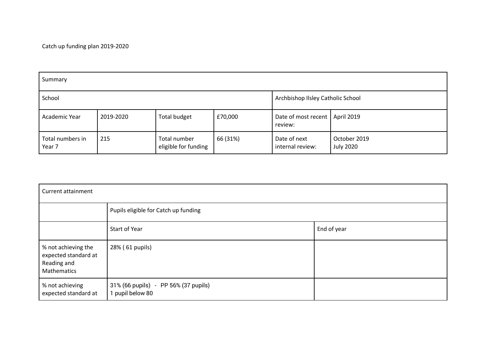Catch up funding plan 2019-2020

| Summary                    |           |                                      |          |                                             |                                  |  |  |
|----------------------------|-----------|--------------------------------------|----------|---------------------------------------------|----------------------------------|--|--|
| School                     |           |                                      |          | Archbishop Ilsley Catholic School           |                                  |  |  |
| Academic Year              | 2019-2020 | Total budget                         | £70,000  | Date of most recent   April 2019<br>review: |                                  |  |  |
| Total numbers in<br>Year 7 | 215       | Total number<br>eligible for funding | 66 (31%) | Date of next<br>internal review:            | October 2019<br><b>July 2020</b> |  |  |

| <b>Current attainment</b>                                                 |                                                          |             |  |  |  |
|---------------------------------------------------------------------------|----------------------------------------------------------|-------------|--|--|--|
|                                                                           | Pupils eligible for Catch up funding                     |             |  |  |  |
|                                                                           | Start of Year                                            | End of year |  |  |  |
| % not achieving the<br>expected standard at<br>Reading and<br>Mathematics | 28% (61 pupils)                                          |             |  |  |  |
| % not achieving<br>expected standard at                                   | 31% (66 pupils) - PP 56% (37 pupils)<br>1 pupil below 80 |             |  |  |  |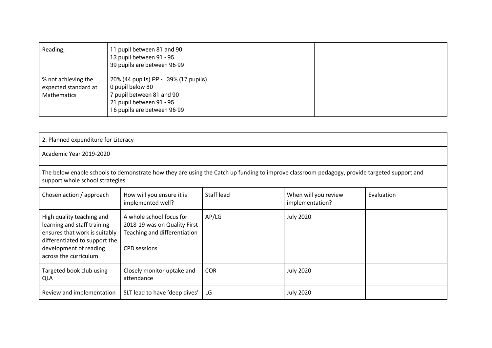| Reading,                                                          | 11 pupil between 81 and 90<br>13 pupil between 91 - 95<br>39 pupils are between 96-99                                                            |  |
|-------------------------------------------------------------------|--------------------------------------------------------------------------------------------------------------------------------------------------|--|
| % not achieving the<br>expected standard at<br><b>Mathematics</b> | 20% (44 pupils) PP - 39% (17 pupils)<br>0 pupil below 80<br>7 pupil between 81 and 90<br>21 pupil between 91 - 95<br>16 pupils are between 96-99 |  |

| 2. Planned expenditure for Literacy                                                                                                                                           |                                                                                                                                                                                |                   |                                         |            |  |  |  |  |
|-------------------------------------------------------------------------------------------------------------------------------------------------------------------------------|--------------------------------------------------------------------------------------------------------------------------------------------------------------------------------|-------------------|-----------------------------------------|------------|--|--|--|--|
| Academic Year 2019-2020                                                                                                                                                       |                                                                                                                                                                                |                   |                                         |            |  |  |  |  |
|                                                                                                                                                                               | The below enable schools to demonstrate how they are using the Catch up funding to improve classroom pedagogy, provide targeted support and<br>support whole school strategies |                   |                                         |            |  |  |  |  |
| Chosen action / approach                                                                                                                                                      | How will you ensure it is<br>implemented well?                                                                                                                                 | <b>Staff lead</b> | When will you review<br>implementation? | Evaluation |  |  |  |  |
| High quality teaching and<br>learning and staff training<br>ensures that work is suitably<br>differentiated to support the<br>development of reading<br>across the curriculum | A whole school focus for<br>2018-19 was on Quality First<br>Teaching and differentiation<br><b>CPD</b> sessions                                                                | AP/LG             | <b>July 2020</b>                        |            |  |  |  |  |
| Targeted book club using<br><b>QLA</b>                                                                                                                                        | Closely monitor uptake and<br>attendance                                                                                                                                       | <b>COR</b>        | <b>July 2020</b>                        |            |  |  |  |  |
| Review and implementation                                                                                                                                                     | SLT lead to have 'deep dives'                                                                                                                                                  | LG                | <b>July 2020</b>                        |            |  |  |  |  |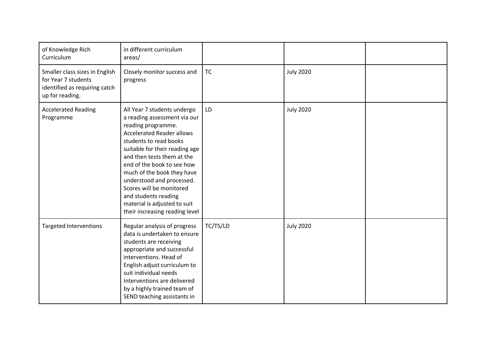| of Knowledge Rich<br>Curriculum                                                                           | in different curriculum<br>areas/                                                                                                                                                                                                                                                                                                                                                                                              |           |                  |  |
|-----------------------------------------------------------------------------------------------------------|--------------------------------------------------------------------------------------------------------------------------------------------------------------------------------------------------------------------------------------------------------------------------------------------------------------------------------------------------------------------------------------------------------------------------------|-----------|------------------|--|
| Smaller class sizes in English<br>for Year 7 students<br>identified as requiring catch<br>up for reading. | Closely monitor success and<br>progress                                                                                                                                                                                                                                                                                                                                                                                        | <b>TC</b> | <b>July 2020</b> |  |
| <b>Accelerated Reading</b><br>Programme                                                                   | All Year 7 students undergo<br>a reading assessment via our<br>reading programme.<br><b>Accelerated Reader allows</b><br>students to read books<br>suitable for their reading age<br>and then tests them at the<br>end of the book to see how<br>much of the book they have<br>understood and processed.<br>Scores will be monitored<br>and students reading<br>material is adjusted to suit<br>their increasing reading level | LD        | <b>July 2020</b> |  |
| <b>Targeted Interventions</b>                                                                             | Regular analysis of progress<br>data is undertaken to ensure<br>students are receiving<br>appropriate and successful<br>interventions. Head of<br>English adjust curriculum to<br>suit individual needs<br>Interventions are delivered<br>by a highly trained team of<br>SEND teaching assistants in                                                                                                                           | TC/TS/LD  | <b>July 2020</b> |  |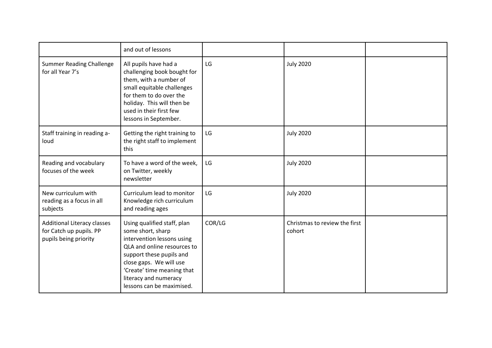|                                                                                        | and out of lessons                                                                                                                                                                                                                                       |        |                                         |  |
|----------------------------------------------------------------------------------------|----------------------------------------------------------------------------------------------------------------------------------------------------------------------------------------------------------------------------------------------------------|--------|-----------------------------------------|--|
| <b>Summer Reading Challenge</b><br>for all Year 7's                                    | All pupils have had a<br>challenging book bought for<br>them, with a number of<br>small equitable challenges<br>for them to do over the<br>holiday. This will then be<br>used in their first few<br>lessons in September.                                | LG     | <b>July 2020</b>                        |  |
| Staff training in reading a-<br>loud                                                   | Getting the right training to<br>the right staff to implement<br>this                                                                                                                                                                                    | LG     | <b>July 2020</b>                        |  |
| Reading and vocabulary<br>focuses of the week                                          | To have a word of the week,<br>on Twitter, weekly<br>newsletter                                                                                                                                                                                          | LG     | <b>July 2020</b>                        |  |
| New curriculum with<br>reading as a focus in all<br>subjects                           | Curriculum lead to monitor<br>Knowledge rich curriculum<br>and reading ages                                                                                                                                                                              | LG     | <b>July 2020</b>                        |  |
| <b>Additional Literacy classes</b><br>for Catch up pupils. PP<br>pupils being priority | Using qualified staff, plan<br>some short, sharp<br>intervention lessons using<br>QLA and online resources to<br>support these pupils and<br>close gaps. We will use<br>'Create' time meaning that<br>literacy and numeracy<br>lessons can be maximised. | COR/LG | Christmas to review the first<br>cohort |  |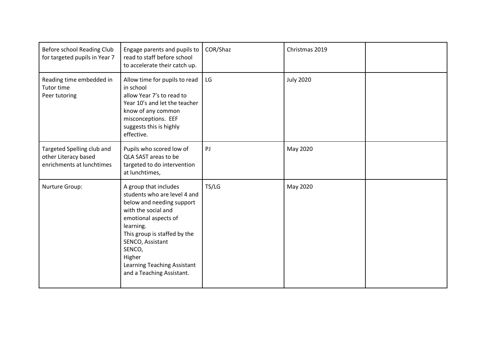| Before school Reading Club<br>for targeted pupils in Year 7                     | Engage parents and pupils to<br>read to staff before school<br>to accelerate their catch up.                                                                                                                                                                                       | COR/Shaz | Christmas 2019   |  |
|---------------------------------------------------------------------------------|------------------------------------------------------------------------------------------------------------------------------------------------------------------------------------------------------------------------------------------------------------------------------------|----------|------------------|--|
| Reading time embedded in<br>Tutor time<br>Peer tutoring                         | Allow time for pupils to read<br>in school<br>allow Year 7's to read to<br>Year 10's and let the teacher<br>know of any common<br>misconceptions. EEF<br>suggests this is highly<br>effective.                                                                                     | LG       | <b>July 2020</b> |  |
| Targeted Spelling club and<br>other Literacy based<br>enrichments at lunchtimes | Pupils who scored low of<br>QLA SAST areas to be<br>targeted to do intervention<br>at lunchtimes,                                                                                                                                                                                  | PJ       | May 2020         |  |
| Nurture Group:                                                                  | A group that includes<br>students who are level 4 and<br>below and needing support<br>with the social and<br>emotional aspects of<br>learning.<br>This group is staffed by the<br>SENCO, Assistant<br>SENCO,<br>Higher<br>Learning Teaching Assistant<br>and a Teaching Assistant. | TS/LG    | May 2020         |  |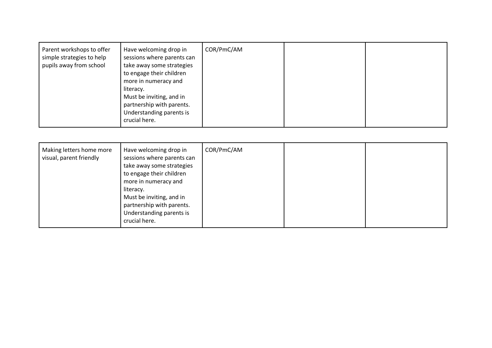| Parent workshops to offer<br>simple strategies to help<br>pupils away from school | Have welcoming drop in<br>sessions where parents can<br>take away some strategies<br>to engage their children<br>more in numeracy and<br>literacy.<br>Must be inviting, and in<br>partnership with parents.<br>Understanding parents is<br>crucial here. | COR/PmC/AM |  |  |
|-----------------------------------------------------------------------------------|----------------------------------------------------------------------------------------------------------------------------------------------------------------------------------------------------------------------------------------------------------|------------|--|--|
|-----------------------------------------------------------------------------------|----------------------------------------------------------------------------------------------------------------------------------------------------------------------------------------------------------------------------------------------------------|------------|--|--|

| Making letters home more<br>visual, parent friendly | Have welcoming drop in<br>sessions where parents can<br>take away some strategies<br>to engage their children<br>more in numeracy and<br>literacy.<br>Must be inviting, and in<br>partnership with parents.<br>Understanding parents is<br>crucial here. | COR/PmC/AM |  |  |
|-----------------------------------------------------|----------------------------------------------------------------------------------------------------------------------------------------------------------------------------------------------------------------------------------------------------------|------------|--|--|
|-----------------------------------------------------|----------------------------------------------------------------------------------------------------------------------------------------------------------------------------------------------------------------------------------------------------------|------------|--|--|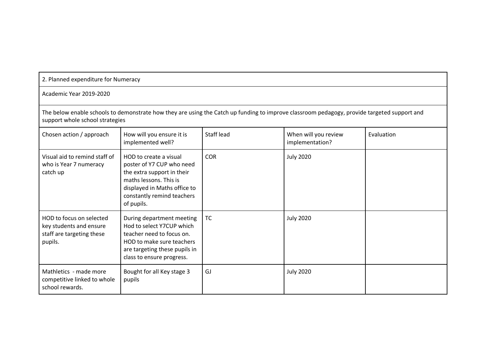| 2. Planned expenditure for Numeracy                                                         |                                                                                                                                                                                         |            |                                         |            |  |  |  |
|---------------------------------------------------------------------------------------------|-----------------------------------------------------------------------------------------------------------------------------------------------------------------------------------------|------------|-----------------------------------------|------------|--|--|--|
| Academic Year 2019-2020                                                                     |                                                                                                                                                                                         |            |                                         |            |  |  |  |
| support whole school strategies                                                             | The below enable schools to demonstrate how they are using the Catch up funding to improve classroom pedagogy, provide targeted support and                                             |            |                                         |            |  |  |  |
| Chosen action / approach                                                                    | How will you ensure it is<br>implemented well?                                                                                                                                          | Staff lead | When will you review<br>implementation? | Evaluation |  |  |  |
| Visual aid to remind staff of<br>who is Year 7 numeracy<br>catch up                         | HOD to create a visual<br>poster of Y7 CUP who need<br>the extra support in their<br>maths lessons. This is<br>displayed in Maths office to<br>constantly remind teachers<br>of pupils. | <b>COR</b> | <b>July 2020</b>                        |            |  |  |  |
| HOD to focus on selected<br>key students and ensure<br>staff are targeting these<br>pupils. | During department meeting<br>Hod to select Y7CUP which<br>teacher need to focus on.<br>HOD to make sure teachers<br>are targeting these pupils in<br>class to ensure progress.          | <b>TC</b>  | <b>July 2020</b>                        |            |  |  |  |
| Mathletics - made more<br>competitive linked to whole<br>school rewards.                    | Bought for all Key stage 3<br>pupils                                                                                                                                                    | GJ         | <b>July 2020</b>                        |            |  |  |  |